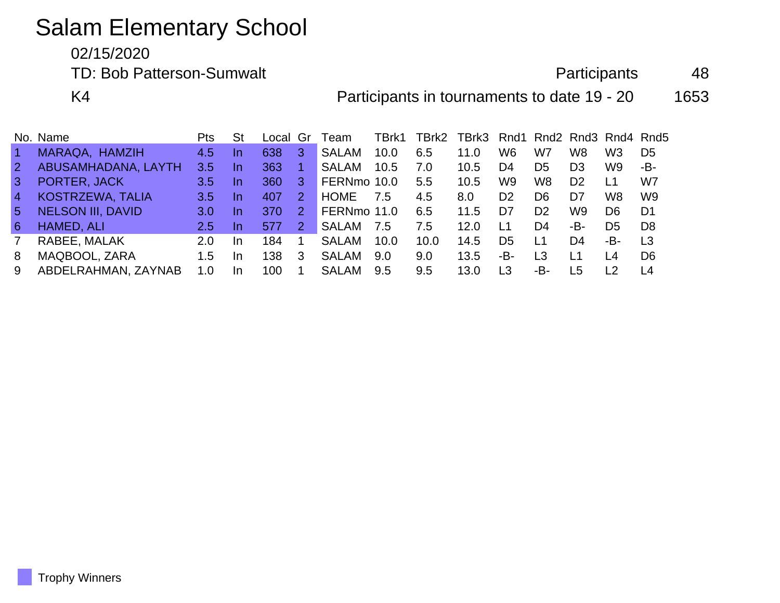# Salam Elementary School

02/15/2020

TD: Bob Patterson-Sumwalt **Participants** 48

K4 **Participants in tournaments to date 19 - 20** 1653

|                | No. Name                 | Pts | St        | Local Gr |               | Team         | TBrk1 | TBrk2         | TBrk3 Rnd1 Rnd2 Rnd3 Rnd4 Rnd5 |                |                |                |                |                |
|----------------|--------------------------|-----|-----------|----------|---------------|--------------|-------|---------------|--------------------------------|----------------|----------------|----------------|----------------|----------------|
| $\vert$ 1      | MARAQA, HAMZIH           | 4.5 | <u>In</u> | 638      | 3             | <b>SALAM</b> | 10.0  | 6.5           | 11.0                           | W6             | W7             | W8             | W <sub>3</sub> | D <sub>5</sub> |
| $\overline{2}$ | ABUSAMHADANA, LAYTH      | 3.5 | <u>In</u> | 363      |               | <b>SALAM</b> | 10.5  | 7.0           | 10.5                           | D4             | D <sub>5</sub> | D <sub>3</sub> | W9             | -В-            |
| $\mathbf{3}$   | PORTER, JACK             | 3.5 | <u>In</u> | 360      | 3.            | FERNmo 10.0  |       | $5.5^{\circ}$ | 10.5                           | W9             | W8             | D2             | L1             | W7             |
| $\overline{4}$ | KOSTRZEWA, TALIA         | 3.5 | <u>In</u> | 407      | 2             | <b>HOME</b>  | 7.5   | 4.5           | 8.0                            | D <sub>2</sub> | D6             | D7             | W8             | W <sub>9</sub> |
| $5^{\circ}$    | <b>NELSON III, DAVID</b> | 3.0 | <u>In</u> | 370      | $\mathcal{P}$ | FERNmo 11.0  |       | 6.5           | 11.5                           | D7             | D <sub>2</sub> | W9             | D <sub>6</sub> | D1             |
| 6              | HAMED, ALI               | 2.5 | <u>In</u> | 577      | $2^{\circ}$   | <b>SALAM</b> | 7.5   | 7.5           | 12.0                           | L1             | D4             | -B-            | D5             | D <sub>8</sub> |
| 7              | RABEE, MALAK             | 2.0 | In        | 184      |               | <b>SALAM</b> | 10.0  | 10.0          | 14.5                           | D <sub>5</sub> | L1             | D4             | -B-            | L <sub>3</sub> |
| 8              | MAQBOOL, ZARA            | 1.5 | In        | 138      | 3             | <b>SALAM</b> | 9.0   | 9.0           | 13.5                           | -B-            | L3             | <u> 1</u>      | L4             | D <sub>6</sub> |
| 9              | ABDELRAHMAN, ZAYNAB      | 1.0 | In        | 100      |               | <b>SALAM</b> | 9.5   | 9.5           | 13.0                           | L3             | -В-            | L5             | $\overline{2}$ | L <sub>4</sub> |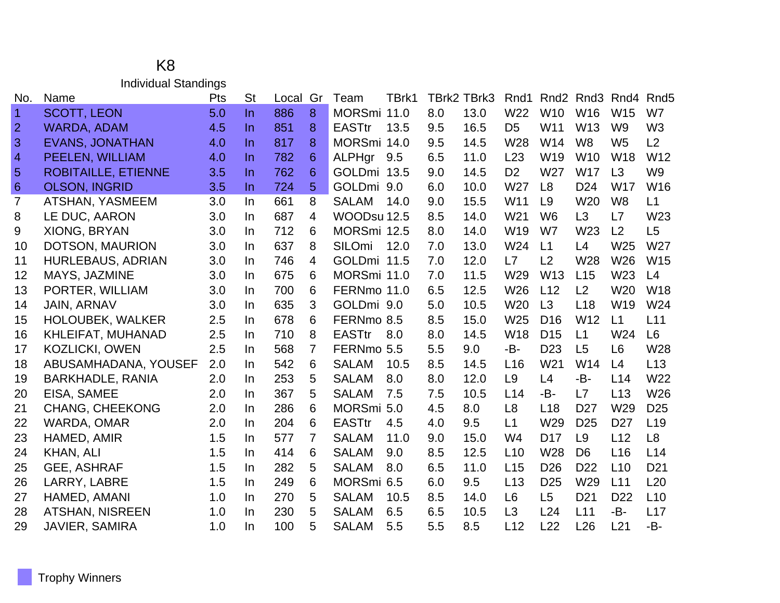#### K8 Individual Standings

| No.            | Name                       | Pts | <b>St</b> | Local | Gr             | Team          | TBrk1 |     | TBrk2 TBrk3 | Rnd1            | Rnd <sub>2</sub> | Rnd <sub>3</sub> | Rnd <sub>4</sub> | Rnd <sub>5</sub> |
|----------------|----------------------------|-----|-----------|-------|----------------|---------------|-------|-----|-------------|-----------------|------------------|------------------|------------------|------------------|
| $\overline{1}$ | <b>SCOTT, LEON</b>         | 5.0 | $\ln$     | 886   | 8              | MORSmi 11.0   |       | 8.0 | 13.0        | W22             | W <sub>10</sub>  | W16              | W15              | W7               |
| $\overline{2}$ | <b>WARDA, ADAM</b>         | 4.5 | $\ln$     | 851   | 8              | <b>EASTtr</b> | 13.5  | 9.5 | 16.5        | D <sub>5</sub>  | W11              | W13              | W <sub>9</sub>   | W <sub>3</sub>   |
| 3              | <b>EVANS, JONATHAN</b>     | 4.0 | $\ln$     | 817   | 8              | MORSmi 14.0   |       | 9.5 | 14.5        | W28             | W14              | W <sub>8</sub>   | W <sub>5</sub>   | L2               |
| $\overline{4}$ | PEELEN, WILLIAM            | 4.0 | $\ln$     | 782   | 6              | ALPHgr        | 9.5   | 6.5 | 11.0        | L23             | W <sub>19</sub>  | W <sub>10</sub>  | W18              | W12              |
| $\overline{5}$ | <b>ROBITAILLE, ETIENNE</b> | 3.5 | $\ln$     | 762   | 6              | GOLDmi 13.5   |       | 9.0 | 14.5        | D <sub>2</sub>  | W27              | W17              | L3               | W <sub>9</sub>   |
| $\sqrt{6}$     | <b>OLSON, INGRID</b>       | 3.5 | $\ln$     | 724   | 5              | GOLDmi 9.0    |       | 6.0 | 10.0        | W27             | L <sub>8</sub>   | D <sub>24</sub>  | <b>W17</b>       | W16              |
| $\overline{7}$ | <b>ATSHAN, YASMEEM</b>     | 3.0 | In        | 661   | 8              | <b>SALAM</b>  | 14.0  | 9.0 | 15.5        | W11             | L <sub>9</sub>   | W20              | W <sub>8</sub>   | L1               |
| 8              | LE DUC, AARON              | 3.0 | $\ln$     | 687   | $\overline{4}$ | WOODsu 12.5   |       | 8.5 | 14.0        | W <sub>21</sub> | W <sub>6</sub>   | L3               | L7               | W23              |
| 9              | XIONG, BRYAN               | 3.0 | $\ln$     | 712   | 6              | MORSmi 12.5   |       | 8.0 | 14.0        | W19             | W7               | W23              | L2               | L5               |
| 10             | DOTSON, MAURION            | 3.0 | In        | 637   | 8              | <b>SILOmi</b> | 12.0  | 7.0 | 13.0        | W24             | L1               | L4               | W25              | W27              |
| 11             | HURLEBAUS, ADRIAN          | 3.0 | In.       | 746   | 4              | GOLDmi 11.5   |       | 7.0 | 12.0        | L7              | L2               | W28              | W26              | W15              |
| 12             | MAYS, JAZMINE              | 3.0 | $\ln$     | 675   | 6              | MORSmi 11.0   |       | 7.0 | 11.5        | W29             | W <sub>13</sub>  | L15              | W23              | L4               |
| 13             | PORTER, WILLIAM            | 3.0 | In.       | 700   | 6              | FERNmo 11.0   |       | 6.5 | 12.5        | W26             | L12              | L2               | W20              | W18              |
| 14             | <b>JAIN, ARNAV</b>         | 3.0 | In        | 635   | 3              | GOLDmi 9.0    |       | 5.0 | 10.5        | W20             | L3               | L18              | W19              | W24              |
| 15             | <b>HOLOUBEK, WALKER</b>    | 2.5 | In        | 678   | 6              | FERNmo 8.5    |       | 8.5 | 15.0        | W25             | D <sub>16</sub>  | W12              | L1               | L11              |
| 16             | KHLEIFAT, MUHANAD          | 2.5 | $\ln$     | 710   | 8              | <b>EASTtr</b> | 8.0   | 8.0 | 14.5        | W18             | D <sub>15</sub>  | L1               | W24              | L <sub>6</sub>   |
| 17             | <b>KOZLICKI, OWEN</b>      | 2.5 | In        | 568   | 7              | FERNmo 5.5    |       | 5.5 | 9.0         | -B-             | D <sub>23</sub>  | L5               | L <sub>6</sub>   | W28              |
| 18             | ABUSAMHADANA, YOUSEF       | 2.0 | In        | 542   | 6              | <b>SALAM</b>  | 10.5  | 8.5 | 14.5        | L <sub>16</sub> | W21              | W14              | L4               | L13              |
| 19             | <b>BARKHADLE, RANIA</b>    | 2.0 | In        | 253   | 5              | <b>SALAM</b>  | 8.0   | 8.0 | 12.0        | L <sub>9</sub>  | L4               | -B-              | L14              | W22              |
| 20             | EISA, SAMEE                | 2.0 | In        | 367   | 5              | <b>SALAM</b>  | 7.5   | 7.5 | 10.5        | L14             | -B-              | L7               | L13              | W26              |
| 21             | <b>CHANG, CHEEKONG</b>     | 2.0 | In        | 286   | 6              | MORSmi 5.0    |       | 4.5 | 8.0         | L <sub>8</sub>  | L <sub>18</sub>  | D <sub>27</sub>  | W29              | D <sub>25</sub>  |
| 22             | WARDA, OMAR                | 2.0 | In        | 204   | 6              | <b>EASTtr</b> | 4.5   | 4.0 | 9.5         | L1              | W29              | D <sub>25</sub>  | D <sub>27</sub>  | L <sub>19</sub>  |
| 23             | HAMED, AMIR                | 1.5 | In        | 577   | 7              | <b>SALAM</b>  | 11.0  | 9.0 | 15.0        | W4              | D <sub>17</sub>  | L <sub>9</sub>   | L12              | L <sub>8</sub>   |
| 24             | KHAN, ALI                  | 1.5 | In        | 414   | 6              | <b>SALAM</b>  | 9.0   | 8.5 | 12.5        | L10             | W28              | D <sub>6</sub>   | L16              | L14              |
| 25             | <b>GEE, ASHRAF</b>         | 1.5 | In        | 282   | 5              | <b>SALAM</b>  | 8.0   | 6.5 | 11.0        | L15             | D <sub>26</sub>  | D <sub>22</sub>  | L10              | D <sub>21</sub>  |
| 26             | LARRY, LABRE               | 1.5 | In        | 249   | 6              | MORSmi 6.5    |       | 6.0 | 9.5         | L13             | D <sub>25</sub>  | W29              | L11              | L20              |
| 27             | HAMED, AMANI               | 1.0 | In        | 270   | 5              | <b>SALAM</b>  | 10.5  | 8.5 | 14.0        | L <sub>6</sub>  | L <sub>5</sub>   | D <sub>21</sub>  | D <sub>22</sub>  | L10              |
| 28             | <b>ATSHAN, NISREEN</b>     | 1.0 | In        | 230   | 5              | <b>SALAM</b>  | 6.5   | 6.5 | 10.5        | L3              | L24              | L11              | -B-              | L17              |
| 29             | JAVIER, SAMIRA             | 1.0 | In        | 100   | 5              | <b>SALAM</b>  | 5.5   | 5.5 | 8.5         | L12             | L22              | L26              | L21              | -B-              |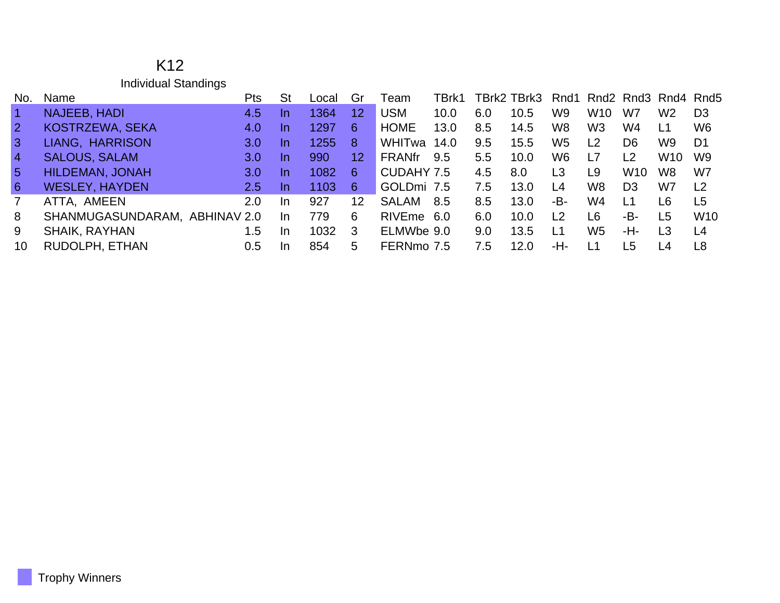| K <sub>12</sub>             |
|-----------------------------|
| <b>Individual Standings</b> |

| No.            | Name                          | Pts              | <b>St</b> | Local | Gr | Team          | TBrk1 |     | TBrk2 TBrk3 |                | Rnd1 Rnd2 Rnd3 Rnd4 Rnd5 |                 |                 |                |
|----------------|-------------------------------|------------------|-----------|-------|----|---------------|-------|-----|-------------|----------------|--------------------------|-----------------|-----------------|----------------|
| $\vert$ 1      | NAJEEB, HADI                  | 4.5              | -In       | 1364  | 12 | <b>USM</b>    | 10.0  | 6.0 | 10.5        | W <sub>9</sub> | W <sub>10</sub>          | W7              | W <sub>2</sub>  | D <sub>3</sub> |
| $\overline{2}$ | KOSTRZEWA, SEKA               | 4.0              | In.       | 1297  | 6  | <b>HOME</b>   | 13.0  | 8.5 | 14.5        | W8             | W <sub>3</sub>           | W4              | L1              | W <sub>6</sub> |
| $\mathbf{3}$   | LIANG, HARRISON               | 3.0 <sub>l</sub> | In.       | 1255  | 8  | WHITwa        | 14.0  | 9.5 | 15.5        | W <sub>5</sub> | L2                       | D6              | W <sub>9</sub>  | D1             |
| $\overline{4}$ | <b>SALOUS, SALAM</b>          | 3.0 <sub>1</sub> | -In       | 990   | 12 | <b>FRANfr</b> | 9.5   | 5.5 | 10.0        | W6             | ı 7                      | L <sub>2</sub>  | W <sub>10</sub> | W <sub>9</sub> |
| $5^{\circ}$    | <b>HILDEMAN, JONAH</b>        | 3.0 <sub>1</sub> | In.       | 1082  | 6  | CUDAHY 7.5    |       | 4.5 | 8.0         | L3             | L9                       | W <sub>10</sub> | W <sub>8</sub>  | W7             |
| 6              | <b>WESLEY, HAYDEN</b>         | $2.5^{\circ}$    | In.       | 1103  | 6  | GOLDmi 7.5    |       | 7.5 | 13.0        | L4             | W8                       | D <sub>3</sub>  | W7              | L <sub>2</sub> |
| $\overline{7}$ | ATTA, AMEEN                   | 2.0              | -In       | 927   | 12 | <b>SALAM</b>  | 8.5   | 8.5 | 13.0        | -B-            | W4                       | L1              | L6              | L5             |
| 8              | SHANMUGASUNDARAM, ABHINAV 2.0 |                  | In.       | 779   | 6  | RIVEme 6.0    |       | 6.0 | 10.0        | L2             | L6                       | -B-             | L <sub>5</sub>  | <b>W10</b>     |
| 9              | <b>SHAIK, RAYHAN</b>          | 1.5              | -In       | 1032  | -3 | ELMWbe 9.0    |       | 9.0 | 13.5        | L1             | W <sub>5</sub>           | -H-             | L3              | L <sub>4</sub> |
| 10             | RUDOLPH, ETHAN                | 0.5              | -In       | 854   | 5. | FERNmo 7.5    |       | 7.5 | 12.0        | -H-            |                          | L5              | l 4             | L8             |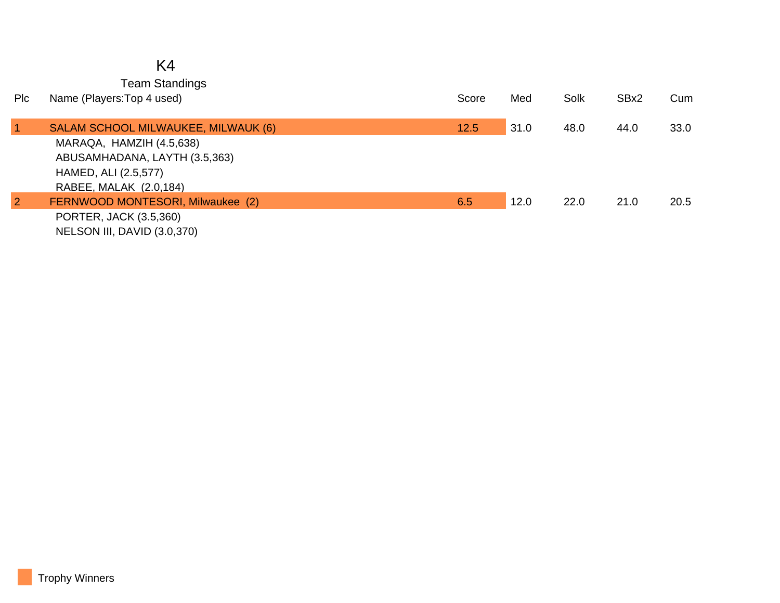# K4

Team Standings

| <b>PIc</b>     | Name (Players: Top 4 used)                            | Score | Med  | Solk | SBx2 | Cum  |
|----------------|-------------------------------------------------------|-------|------|------|------|------|
| 1              | SALAM SCHOOL MILWAUKEE, MILWAUK (6)                   | 12.5  | 31.0 | 48.0 | 44.0 | 33.0 |
|                | MARAQA, HAMZIH (4.5,638)                              |       |      |      |      |      |
|                | ABUSAMHADANA, LAYTH (3.5,363)<br>HAMED, ALI (2.5,577) |       |      |      |      |      |
|                | RABEE, MALAK (2.0,184)                                |       |      |      |      |      |
| $\overline{2}$ | FERNWOOD MONTESORI, Milwaukee (2)                     | 6.5   | 12.0 | 22.0 | 21.0 | 20.5 |
|                | PORTER, JACK (3.5,360)<br>NELSON III, DAVID (3.0,370) |       |      |      |      |      |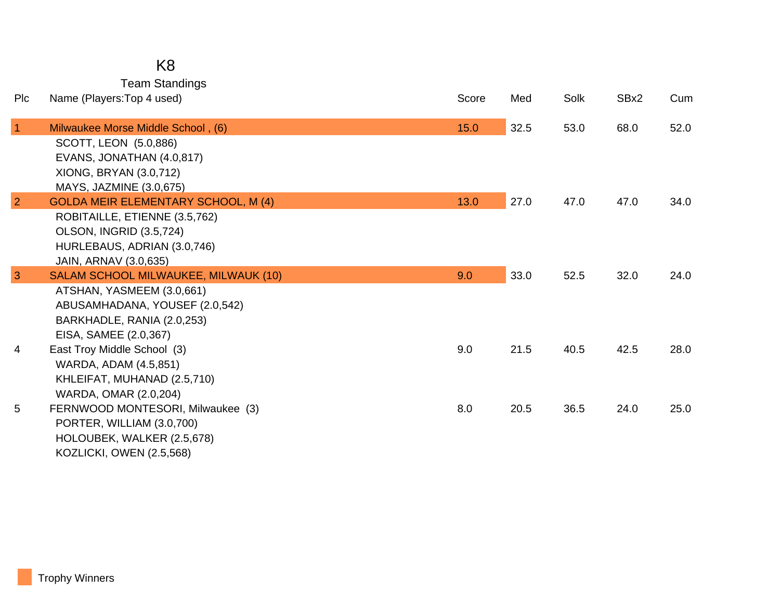### K8

Team Standings

| Plc            | Name (Players: Top 4 used)                                    | Score | Med  | Solk | SBx2 | Cum  |
|----------------|---------------------------------------------------------------|-------|------|------|------|------|
| $\overline{1}$ | Milwaukee Morse Middle School, (6)                            | 15.0  | 32.5 | 53.0 | 68.0 | 52.0 |
|                | SCOTT, LEON (5.0,886)<br>EVANS, JONATHAN (4.0,817)            |       |      |      |      |      |
|                | XIONG, BRYAN (3.0,712)                                        |       |      |      |      |      |
|                | MAYS, JAZMINE (3.0,675)                                       |       |      |      |      |      |
| $\overline{2}$ | <b>GOLDA MEIR ELEMENTARY SCHOOL, M (4)</b>                    | 13.0  | 27.0 | 47.0 | 47.0 | 34.0 |
|                | ROBITAILLE, ETIENNE (3.5,762)                                 |       |      |      |      |      |
|                | <b>OLSON, INGRID (3.5,724)</b><br>HURLEBAUS, ADRIAN (3.0,746) |       |      |      |      |      |
|                | JAIN, ARNAV (3.0,635)                                         |       |      |      |      |      |
| 3              | SALAM SCHOOL MILWAUKEE, MILWAUK (10)                          | 9.0   | 33.0 | 52.5 | 32.0 | 24.0 |
|                | ATSHAN, YASMEEM (3.0,661)                                     |       |      |      |      |      |
|                | ABUSAMHADANA, YOUSEF (2.0,542)                                |       |      |      |      |      |
|                | BARKHADLE, RANIA (2.0,253)                                    |       |      |      |      |      |
| 4              | EISA, SAMEE (2.0,367)<br>East Troy Middle School (3)          | 9.0   | 21.5 | 40.5 | 42.5 | 28.0 |
|                | WARDA, ADAM (4.5,851)                                         |       |      |      |      |      |
|                | KHLEIFAT, MUHANAD (2.5,710)                                   |       |      |      |      |      |
|                | WARDA, OMAR (2.0,204)                                         |       |      |      |      |      |
| 5              | FERNWOOD MONTESORI, Milwaukee (3)                             | 8.0   | 20.5 | 36.5 | 24.0 | 25.0 |
|                | PORTER, WILLIAM (3.0,700)                                     |       |      |      |      |      |
|                | HOLOUBEK, WALKER (2.5,678)                                    |       |      |      |      |      |
|                | <b>KOZLICKI, OWEN (2.5,568)</b>                               |       |      |      |      |      |